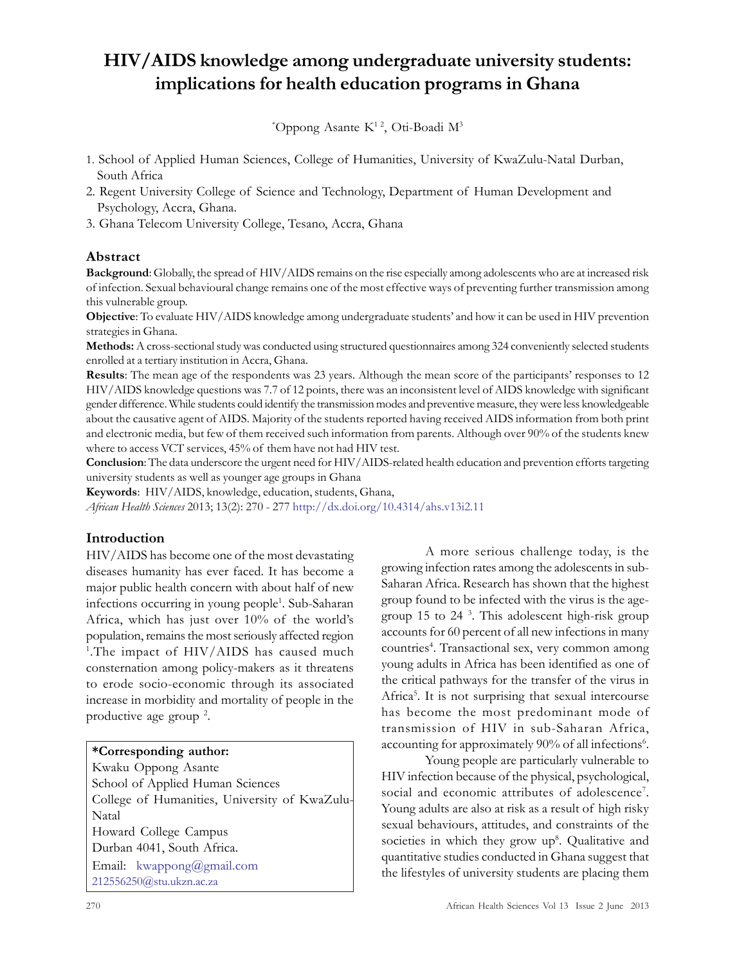# HIV/AIDS knowledge among undergraduate university students: implications for health education programs in Ghana

 $*$ Oppong Asante K<sup>12</sup>, Oti-Boadi M<sup>3</sup>

- 1. School of Applied Human Sciences, College of Humanities, University of KwaZulu-Natal Durban, South Africa
- 2. Regent University College of Science and Technology, Department of Human Development and Psychology, Accra, Ghana.
- 3. Ghana Telecom University College, Tesano, Accra, Ghana

# Abstract

Background: Globally, the spread of HIV/AIDS remains on the rise especially among adolescents who are at increased risk of infection. Sexual behavioural change remains one of the most effective ways of preventing further transmission among this vulnerable group.

Objective: To evaluate HIV/AIDS knowledge among undergraduate students' and how it can be used in HIV prevention strategies in Ghana.

Methods: A cross-sectional study was conducted using structured questionnaires among 324 conveniently selected students enrolled at a tertiary institution in Accra, Ghana.

Results: The mean age of the respondents was 23 years. Although the mean score of the participants' responses to 12 HIV/AIDS knowledge questions was 7.7 of 12 points, there was an inconsistent level of AIDS knowledge with significant gender difference. While students could identify the transmission modes and preventive measure, they were less knowledgeable about the causative agent of AIDS. Majority of the students reported having received AIDS information from both print and electronic media, but few of them received such information from parents. Although over 90% of the students knew where to access VCT services, 45% of them have not had HIV test.

Conclusion: The data underscore the urgent need for HIV/AIDS-related health education and prevention efforts targeting university students as well as younger age groups in Ghana

Keywords: HIV/AIDS, knowledge, education, students, Ghana,

African Health Sciences 2013; 13(2): 270 - 277 http://dx.doi.org/10.4314/ahs.v13i2.11

# Introduction

HIV/AIDS has become one of the most devastating diseases humanity has ever faced. It has become a major public health concern with about half of new infections occurring in young people<sup>1</sup>. Sub-Saharan Africa, which has just over  $10\%$  of the world's population, remains the most seriously affected region 1 .The impact of HIV/AIDS has caused much consternation among policy-makers as it threatens to erode socio-economic through its associated increase in morbidity and mortality of people in the productive age group<sup>2</sup>.

# \*Corresponding author:

Kwaku Oppong Asante School of Applied Human Sciences College of Humanities, University of KwaZulu-Natal Howard College Campus Durban 4041, South Africa. Email: kwappong@gmail.com 212556250@stu.ukzn.ac.za

A more serious challenge today, is the growing infection rates among the adolescents in sub-Saharan Africa. Research has shown that the highest group found to be infected with the virus is the agegroup 15 to 24 <sup>3</sup> . This adolescent high-risk group accounts for 60 percent of all new infections in many countries<sup>4</sup>. Transactional sex, very common among young adults in Africa has been identified as one of the critical pathways for the transfer of the virus in Africa<sup>5</sup>. It is not surprising that sexual intercourse has become the most predominant mode of transmission of HIV in sub-Saharan Africa, accounting for approximately  $90\%$  of all infections $^6$ .

Young people are particularly vulnerable to HIV infection because of the physical, psychological, social and economic attributes of adolescence<sup>7</sup>. Young adults are also at risk as a result of high risky sexual behaviours, attitudes, and constraints of the societies in which they grow up<sup>8</sup>. Qualitative and quantitative studies conducted in Ghana suggest that the lifestyles of university students are placing them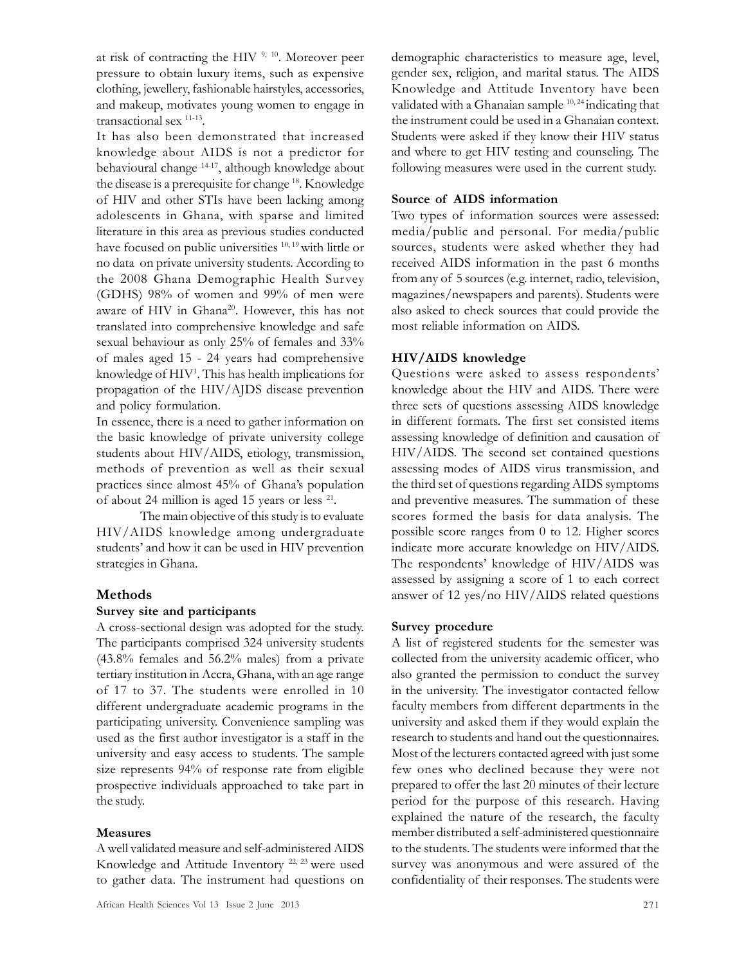at risk of contracting the HIV 9, <sup>10</sup>. Moreover peer pressure to obtain luxury items, such as expensive clothing, jewellery, fashionable hairstyles, accessories, and makeup, motivates young women to engage in transactional sex 11-13 .

It has also been demonstrated that increased knowledge about AIDS is not a predictor for behavioural change 14-17, although knowledge about the disease is a prerequisite for change <sup>18</sup>. Knowledge of HIV and other STIs have been lacking among adolescents in Ghana, with sparse and limited literature in this area as previous studies conducted have focused on public universities <sup>10, 19</sup> with little or no data on private university students. According to the 2008 Ghana Demographic Health Survey (GDHS) 98% of women and 99% of men were aware of HIV in Ghana<sup>20</sup>. However, this has not translated into comprehensive knowledge and safe sexual behaviour as only 25% of females and 33% of males aged 15 - 24 years had comprehensive knowledge of HIV<sup>1</sup> . This has health implications for propagation of the HIV/AJDS disease prevention and policy formulation.

In essence, there is a need to gather information on the basic knowledge of private university college students about HIV/AIDS, etiology, transmission, methods of prevention as well as their sexual practices since almost 45% of Ghana's population of about 24 million is aged 15 years or less <sup>21</sup>.

The main objective of this study is to evaluate HIV/AIDS knowledge among undergraduate students' and how it can be used in HIV prevention strategies in Ghana.

# Methods

# Survey site and participants

A cross-sectional design was adopted for the study. The participants comprised 324 university students (43.8% females and 56.2% males) from a private tertiary institution in Accra, Ghana, with an age range of 17 to 37. The students were enrolled in 10 different undergraduate academic programs in the participating university. Convenience sampling was used as the first author investigator is a staff in the university and easy access to students. The sample size represents 94% of response rate from eligible prospective individuals approached to take part in the study.

# Measures

A well validated measure and self-administered AIDS Knowledge and Attitude Inventory<sup>22, 23</sup> were used to gather data. The instrument had questions on demographic characteristics to measure age, level, gender sex, religion, and marital status. The AIDS Knowledge and Attitude Inventory have been validated with a Ghanaian sample <sup>10, 24</sup> indicating that the instrument could be used in a Ghanaian context. Students were asked if they know their HIV status and where to get HIV testing and counseling. The following measures were used in the current study.

# Source of AIDS information

Two types of information sources were assessed: media/public and personal. For media/public sources, students were asked whether they had received AIDS information in the past 6 months from any of 5 sources (e.g. internet, radio, television, magazines/newspapers and parents). Students were also asked to check sources that could provide the most reliable information on AIDS.

# HIV/AIDS knowledge

Questions were asked to assess respondents' knowledge about the HIV and AIDS. There were three sets of questions assessing AIDS knowledge in different formats. The first set consisted items assessing knowledge of definition and causation of HIV/AIDS. The second set contained questions assessing modes of AIDS virus transmission, and the third set of questions regarding AIDS symptoms and preventive measures. The summation of these scores formed the basis for data analysis. The possible score ranges from 0 to 12. Higher scores indicate more accurate knowledge on HIV/AIDS. The respondents' knowledge of HIV/AIDS was assessed by assigning a score of 1 to each correct answer of 12 yes/no HIV/AIDS related questions

# Survey procedure

A list of registered students for the semester was collected from the university academic officer, who also granted the permission to conduct the survey in the university. The investigator contacted fellow faculty members from different departments in the university and asked them if they would explain the research to students and hand out the questionnaires. Most of the lecturers contacted agreed with just some few ones who declined because they were not prepared to offer the last 20 minutes of their lecture period for the purpose of this research. Having explained the nature of the research, the faculty member distributed a self-administered questionnaire to the students. The students were informed that the survey was anonymous and were assured of the confidentiality of their responses. The students were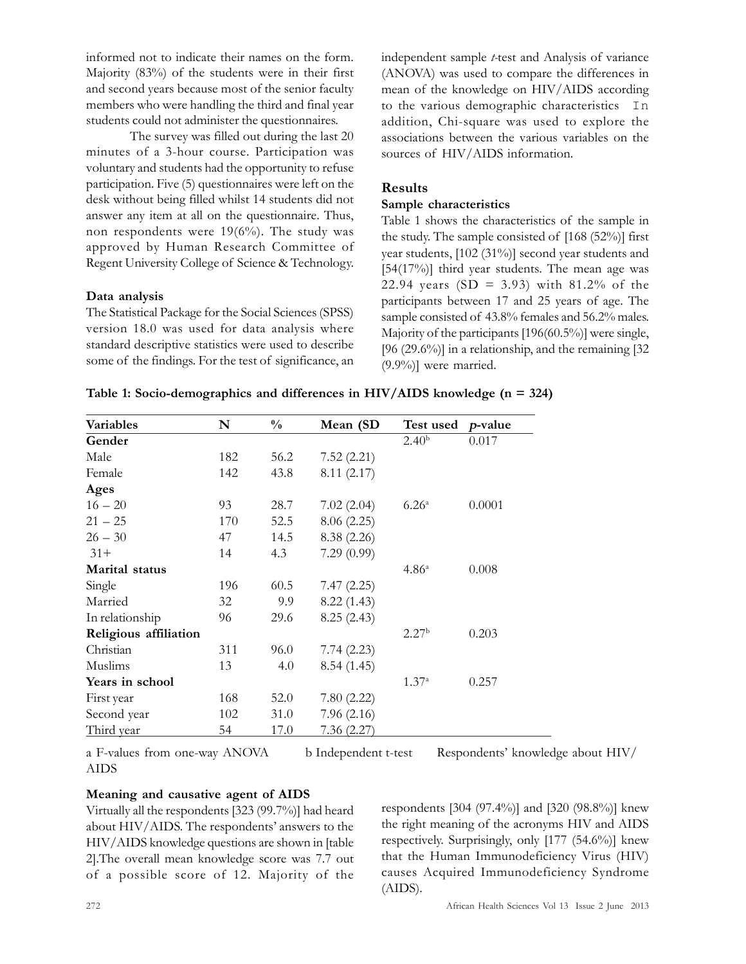informed not to indicate their names on the form. Majority (83%) of the students were in their first and second years because most of the senior faculty members who were handling the third and final year students could not administer the questionnaires.

The survey was filled out during the last 20 minutes of a 3-hour course. Participation was voluntary and students had the opportunity to refuse participation. Five (5) questionnaires were left on the desk without being filled whilst 14 students did not answer any item at all on the questionnaire. Thus, non respondents were 19(6%). The study was approved by Human Research Committee of Regent University College of Science & Technology.

#### Data analysis

The Statistical Package for the Social Sciences (SPSS) version 18.0 was used for data analysis where standard descriptive statistics were used to describe some of the findings. For the test of significance, an independent sample t-test and Analysis of variance (ANOVA) was used to compare the differences in mean of the knowledge on HIV/AIDS according to the various demographic characteristics In addition, Chi-square was used to explore the associations between the various variables on the sources of HIV/AIDS information.

# Results

#### Sample characteristics

Table 1 shows the characteristics of the sample in the study. The sample consisted of [168 (52%)] first year students, [102 (31%)] second year students and [54(17%)] third year students. The mean age was 22.94 years (SD = 3.93) with 81.2% of the participants between 17 and 25 years of age. The sample consisted of 43.8% females and 56.2% males. Majority of the participants [196(60.5%)] were single,  $[96 (29.6\%)]$  in a relationship, and the remaining  $[32]$ (9.9%)] were married.

| Table 1: Socio-demographics and differences in HIV/AIDS knowledge ( $n = 324$ ) |  |  |
|---------------------------------------------------------------------------------|--|--|
|---------------------------------------------------------------------------------|--|--|

| Variables             | N   | $\frac{0}{0}$ | Mean (SD           | Test used         | <i>p</i> -value |
|-----------------------|-----|---------------|--------------------|-------------------|-----------------|
| Gender                |     |               |                    | 2.40 <sup>b</sup> | 0.017           |
| Male                  | 182 | 56.2          | 7.52(2.21)         |                   |                 |
| Female                | 142 | 43.8          | 8.11(2.17)         |                   |                 |
| Ages                  |     |               |                    |                   |                 |
| $16 - 20$             | 93  | 28.7          | 7.02(2.04)         | $6.26^{\circ}$    | 0.0001          |
| $21 - 25$             | 170 | 52.5          | 8.06(2.25)         |                   |                 |
| $26 - 30$             | 47  | 14.5          | 8.38 (2.26)        |                   |                 |
| $31+$                 | 14  | 4.3           | 7.29(0.99)         |                   |                 |
| Marital status        |     |               |                    | 4.86 <sup>a</sup> | 0.008           |
| Single                | 196 | 60.5          | 7.47(2.25)         |                   |                 |
| Married               | 32  | 9.9           | 8.22(1.43)         |                   |                 |
| In relationship       | 96  | 29.6          | 8.25(2.43)         |                   |                 |
| Religious affiliation |     |               |                    | 2.27 <sup>b</sup> | 0.203           |
| Christian             | 311 | 96.0          | 7.74(2.23)         |                   |                 |
| Muslims               | 13  | 4.0           | 8.54(1.45)         |                   |                 |
| Years in school       |     |               |                    | 1.37 <sup>a</sup> | 0.257           |
| First year            | 168 | 52.0          | 7.80(2.22)         |                   |                 |
| Second year           | 102 | 31.0          | 7.96(2.16)         |                   |                 |
| Third year            | 54  | 17.0          | <u>7.36 (2.27)</u> |                   |                 |

AIDS

a F-values from one-way ANOVA b Independent t-test Respondents' knowledge about HIV/

## Meaning and causative agent of AIDS

Virtually all the respondents [323 (99.7%)] had heard about HIV/AIDS. The respondents' answers to the HIV/AIDS knowledge questions are shown in [table 2].The overall mean knowledge score was 7.7 out of a possible score of 12. Majority of the respondents [304 (97.4%)] and [320 (98.8%)] knew the right meaning of the acronyms HIV and AIDS respectively. Surprisingly, only [177 (54.6%)] knew that the Human Immunodeficiency Virus (HIV) causes Acquired Immunodeficiency Syndrome (AIDS).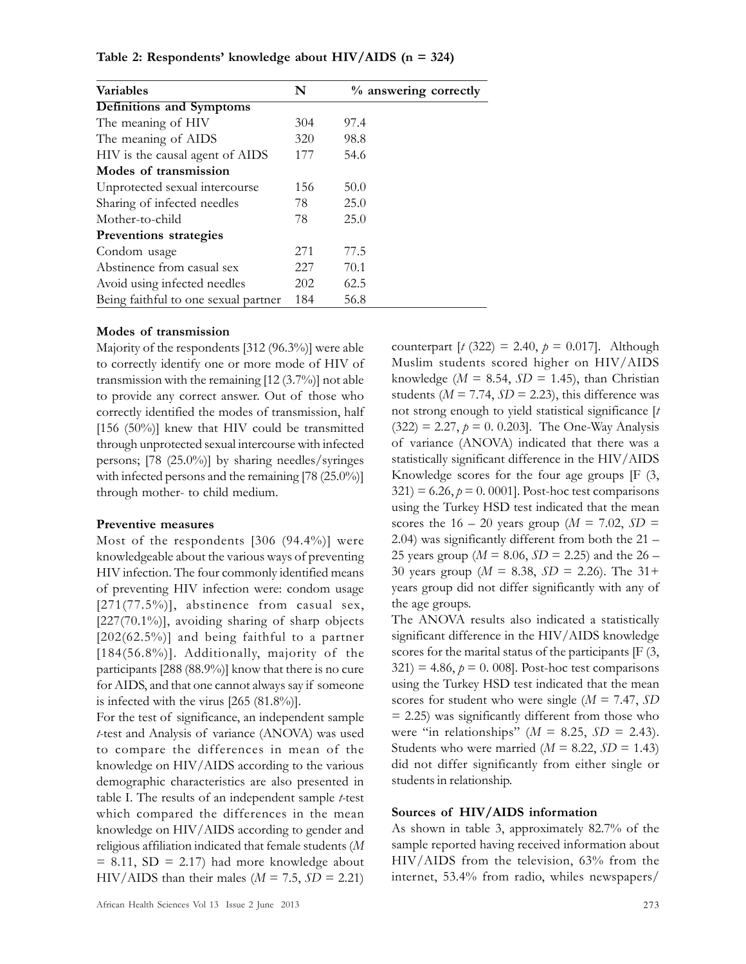| <b>Variables</b>                     | N   | % answering correctly |  |  |  |
|--------------------------------------|-----|-----------------------|--|--|--|
| <b>Definitions and Symptoms</b>      |     |                       |  |  |  |
| The meaning of HIV                   | 304 | 97.4                  |  |  |  |
| The meaning of AIDS                  | 320 | 98.8                  |  |  |  |
| HIV is the causal agent of AIDS      | 177 | 54.6                  |  |  |  |
| Modes of transmission                |     |                       |  |  |  |
| Unprotected sexual intercourse       | 156 | 50.0                  |  |  |  |
| Sharing of infected needles          | 78  | 25.0                  |  |  |  |
| Mother-to-child                      | 78  | 25.0                  |  |  |  |
| Preventions strategies               |     |                       |  |  |  |
| Condom usage                         | 271 | 77.5                  |  |  |  |
| Abstinence from casual sex           | 227 | 70.1                  |  |  |  |
| Avoid using infected needles         | 202 | 62.5                  |  |  |  |
| Being faithful to one sexual partner | 184 | 56.8                  |  |  |  |

Table 2: Respondents' knowledge about HIV/AIDS (n = 324)

## Modes of transmission

Majority of the respondents [312 (96.3%)] were able to correctly identify one or more mode of HIV of transmission with the remaining [12 (3.7%)] not able to provide any correct answer. Out of those who correctly identified the modes of transmission, half [156 (50%)] knew that HIV could be transmitted through unprotected sexual intercourse with infected persons; [78 (25.0%)] by sharing needles/syringes with infected persons and the remaining [78 (25.0%)] through mother- to child medium.

## Preventive measures

Most of the respondents [306 (94.4%)] were knowledgeable about the various ways of preventing HIV infection. The four commonly identified means of preventing HIV infection were: condom usage [271(77.5%)], abstinence from casual sex, [227(70.1%)], avoiding sharing of sharp objects [202(62.5%)] and being faithful to a partner [184(56.8%)]. Additionally, majority of the participants [288 (88.9%)] know that there is no cure for AIDS, and that one cannot always say if someone is infected with the virus [265 (81.8%)].

For the test of significance, an independent sample t-test and Analysis of variance (ANOVA) was used to compare the differences in mean of the knowledge on HIV/AIDS according to the various demographic characteristics are also presented in table I. The results of an independent sample  $t$ -test which compared the differences in the mean knowledge on HIV/AIDS according to gender and religious affiliation indicated that female students (M  $= 8.11$ , SD  $= 2.17$ ) had more knowledge about HIV/AIDS than their males ( $M = 7.5$ ,  $SD = 2.21$ ) counterpart  $[t (322) = 2.40, p = 0.017]$ . Although Muslim students scored higher on HIV/AIDS knowledge ( $M = 8.54$ ,  $SD = 1.45$ ), than Christian students ( $M = 7.74$ ,  $SD = 2.23$ ), this difference was not strong enough to yield statistical significance  $[t]$  $(322) = 2.27, p = 0.0203$ . The One-Way Analysis of variance (ANOVA) indicated that there was a statistically significant difference in the HIV/AIDS Knowledge scores for the four age groups [F (3,  $321$  = 6.26,  $p = 0.0001$ . Post-hoc test comparisons using the Turkey HSD test indicated that the mean scores the  $16 - 20$  years group ( $M = 7.02$ ,  $SD =$ 2.04) was significantly different from both the 21 – 25 years group ( $M = 8.06$ ,  $SD = 2.25$ ) and the 26 – 30 years group ( $M = 8.38$ ,  $SD = 2.26$ ). The 31+ years group did not differ significantly with any of the age groups.

The ANOVA results also indicated a statistically significant difference in the HIV/AIDS knowledge scores for the marital status of the participants [F (3,  $321$ ) = 4.86,  $p = 0.008$ . Post-hoc test comparisons using the Turkey HSD test indicated that the mean scores for student who were single  $(M = 7.47, SD)$  $= 2.25$ ) was significantly different from those who were "in relationships" ( $M = 8.25$ ,  $SD = 2.43$ ). Students who were married ( $M = 8.22$ ,  $SD = 1.43$ ) did not differ significantly from either single or students in relationship.

## Sources of HIV/AIDS information

As shown in table 3, approximately 82.7% of the sample reported having received information about HIV/AIDS from the television, 63% from the internet, 53.4% from radio, whiles newspapers/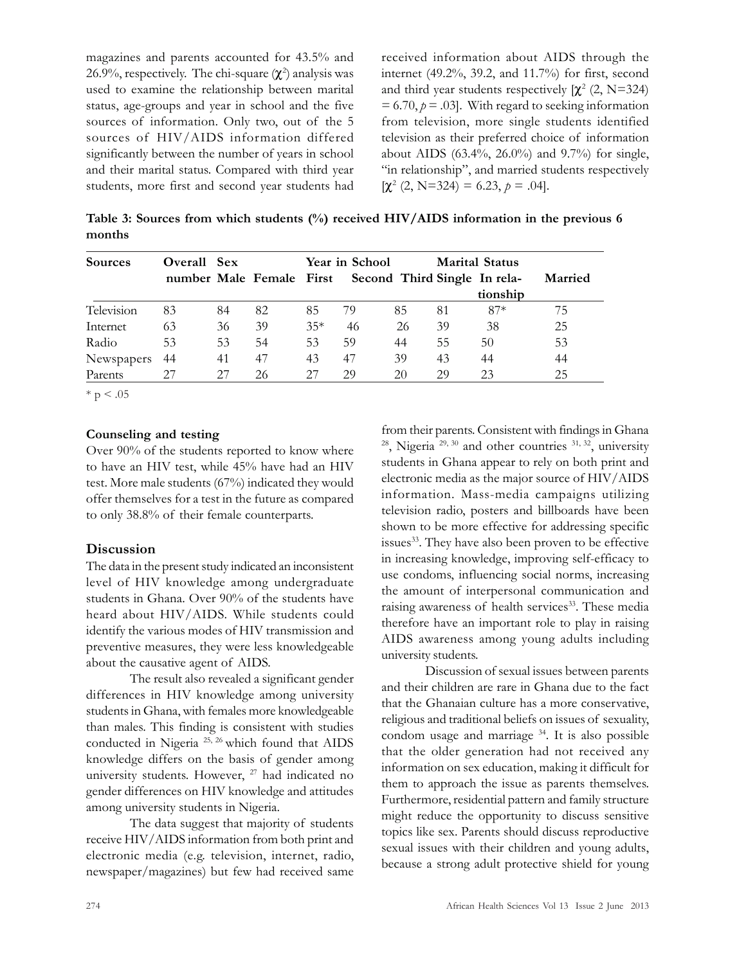magazines and parents accounted for 43.5% and 26.9%, respectively. The chi-square  $(\chi^2)$  analysis was used to examine the relationship between marital status, age-groups and year in school and the five sources of information. Only two, out of the 5 sources of HIV/AIDS information differed significantly between the number of years in school and their marital status. Compared with third year students, more first and second year students had received information about AIDS through the internet (49.2%, 39.2, and 11.7%) for first, second and third year students respectively  $[\chi^2 (2, N=324)]$  $= 6.70, p = .03$ . With regard to seeking information from television, more single students identified television as their preferred choice of information about AIDS (63.4%, 26.0%) and 9.7%) for single, "in relationship", and married students respectively  $[\chi^2 (2, N=324) = 6.23, p = .04].$ 

Table 3: Sources from which students (%) received HIV/AIDS information in the previous 6 months

| <b>Sources</b> | Overall Sex |    |    | Year in School |                                                       |    | <b>Marital Status</b> |          |                |
|----------------|-------------|----|----|----------------|-------------------------------------------------------|----|-----------------------|----------|----------------|
|                |             |    |    |                | number Male Female First Second Third Single In rela- |    |                       |          | <b>Married</b> |
|                |             |    |    |                |                                                       |    |                       | tionship |                |
| Television     | 83          | 84 | 82 | 85             | 79                                                    | 85 | 81                    | $87*$    | 75             |
| Internet       | 63          | 36 | 39 | $35*$          | 46                                                    | 26 | 39                    | 38       | 25             |
| Radio          | 53          | 53 | 54 | 53             | 59                                                    | 44 | 55                    | 50       | 53             |
| Newspapers     | 44          | 41 | 47 | 43             | 47                                                    | 39 | 43                    | 44       | 44             |
| Parents        | 27          | 27 | 26 | 27             | 29                                                    | 20 | 29                    | 23       | 25             |

 $* p < .05$ 

## Counseling and testing

Over 90% of the students reported to know where to have an HIV test, while 45% have had an HIV test. More male students (67%) indicated they would offer themselves for a test in the future as compared to only 38.8% of their female counterparts.

## Discussion

The data in the present study indicated an inconsistent level of HIV knowledge among undergraduate students in Ghana. Over 90% of the students have heard about HIV/AIDS. While students could identify the various modes of HIV transmission and preventive measures, they were less knowledgeable about the causative agent of AIDS.

The result also revealed a significant gender differences in HIV knowledge among university students in Ghana, with females more knowledgeable than males. This finding is consistent with studies conducted in Nigeria 25, 26 which found that AIDS knowledge differs on the basis of gender among university students. However, <sup>27</sup> had indicated no gender differences on HIV knowledge and attitudes among university students in Nigeria.

The data suggest that majority of students receive HIV/AIDS information from both print and electronic media (e.g. television, internet, radio, newspaper/magazines) but few had received same

from their parents. Consistent with findings in Ghana  $28$ , Nigeria  $29, 30$  and other countries  $31, 32$ , university students in Ghana appear to rely on both print and electronic media as the major source of HIV/AIDS information. Mass-media campaigns utilizing television radio, posters and billboards have been shown to be more effective for addressing specific issues<sup>33</sup>. They have also been proven to be effective in increasing knowledge, improving self-efficacy to use condoms, influencing social norms, increasing the amount of interpersonal communication and raising awareness of health services<sup>33</sup>. These media therefore have an important role to play in raising AIDS awareness among young adults including university students.

Discussion of sexual issues between parents and their children are rare in Ghana due to the fact that the Ghanaian culture has a more conservative, religious and traditional beliefs on issues of sexuality, condom usage and marriage <sup>34</sup>. It is also possible that the older generation had not received any information on sex education, making it difficult for them to approach the issue as parents themselves. Furthermore, residential pattern and family structure might reduce the opportunity to discuss sensitive topics like sex. Parents should discuss reproductive sexual issues with their children and young adults, because a strong adult protective shield for young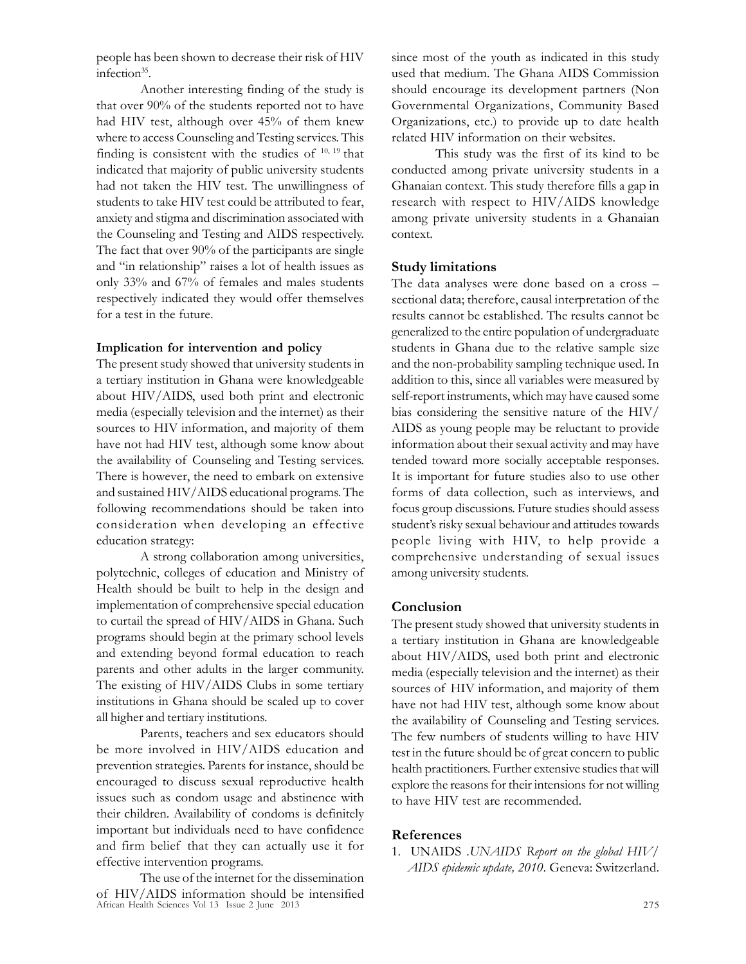people has been shown to decrease their risk of HIV infection<sup>35</sup>.

Another interesting finding of the study is that over 90% of the students reported not to have had HIV test, although over 45% of them knew where to access Counseling and Testing services. This finding is consistent with the studies of  $10, 19$  that indicated that majority of public university students had not taken the HIV test. The unwillingness of students to take HIV test could be attributed to fear, anxiety and stigma and discrimination associated with the Counseling and Testing and AIDS respectively. The fact that over 90% of the participants are single and "in relationship" raises a lot of health issues as only 33% and 67% of females and males students respectively indicated they would offer themselves for a test in the future.

## Implication for intervention and policy

The present study showed that university students in a tertiary institution in Ghana were knowledgeable about HIV/AIDS, used both print and electronic media (especially television and the internet) as their sources to HIV information, and majority of them have not had HIV test, although some know about the availability of Counseling and Testing services. There is however, the need to embark on extensive and sustained HIV/AIDS educational programs. The following recommendations should be taken into consideration when developing an effective education strategy:

A strong collaboration among universities, polytechnic, colleges of education and Ministry of Health should be built to help in the design and implementation of comprehensive special education to curtail the spread of HIV/AIDS in Ghana. Such programs should begin at the primary school levels and extending beyond formal education to reach parents and other adults in the larger community. The existing of HIV/AIDS Clubs in some tertiary institutions in Ghana should be scaled up to cover all higher and tertiary institutions.

Parents, teachers and sex educators should be more involved in HIV/AIDS education and prevention strategies. Parents for instance, should be encouraged to discuss sexual reproductive health issues such as condom usage and abstinence with their children. Availability of condoms is definitely important but individuals need to have confidence and firm belief that they can actually use it for effective intervention programs.

African Health Sciences Vol 13 Issue 2 June 2013 2013 The use of the internet for the dissemination of HIV/AIDS information should be intensified

since most of the youth as indicated in this study used that medium. The Ghana AIDS Commission should encourage its development partners (Non Governmental Organizations, Community Based Organizations, etc.) to provide up to date health related HIV information on their websites.

This study was the first of its kind to be conducted among private university students in a Ghanaian context. This study therefore fills a gap in research with respect to HIV/AIDS knowledge among private university students in a Ghanaian context.

## Study limitations

The data analyses were done based on a cross – sectional data; therefore, causal interpretation of the results cannot be established. The results cannot be generalized to the entire population of undergraduate students in Ghana due to the relative sample size and the non-probability sampling technique used. In addition to this, since all variables were measured by self-report instruments, which may have caused some bias considering the sensitive nature of the HIV/ AIDS as young people may be reluctant to provide information about their sexual activity and may have tended toward more socially acceptable responses. It is important for future studies also to use other forms of data collection, such as interviews, and focus group discussions. Future studies should assess student's risky sexual behaviour and attitudes towards people living with HIV, to help provide a comprehensive understanding of sexual issues among university students.

## Conclusion

The present study showed that university students in a tertiary institution in Ghana are knowledgeable about HIV/AIDS, used both print and electronic media (especially television and the internet) as their sources of HIV information, and majority of them have not had HIV test, although some know about the availability of Counseling and Testing services. The few numbers of students willing to have HIV test in the future should be of great concern to public health practitioners. Further extensive studies that will explore the reasons for their intensions for not willing to have HIV test are recommended.

## References

1. UNAIDS .UNAIDS Report on the global HIV/ AIDS epidemic update, 2010. Geneva: Switzerland.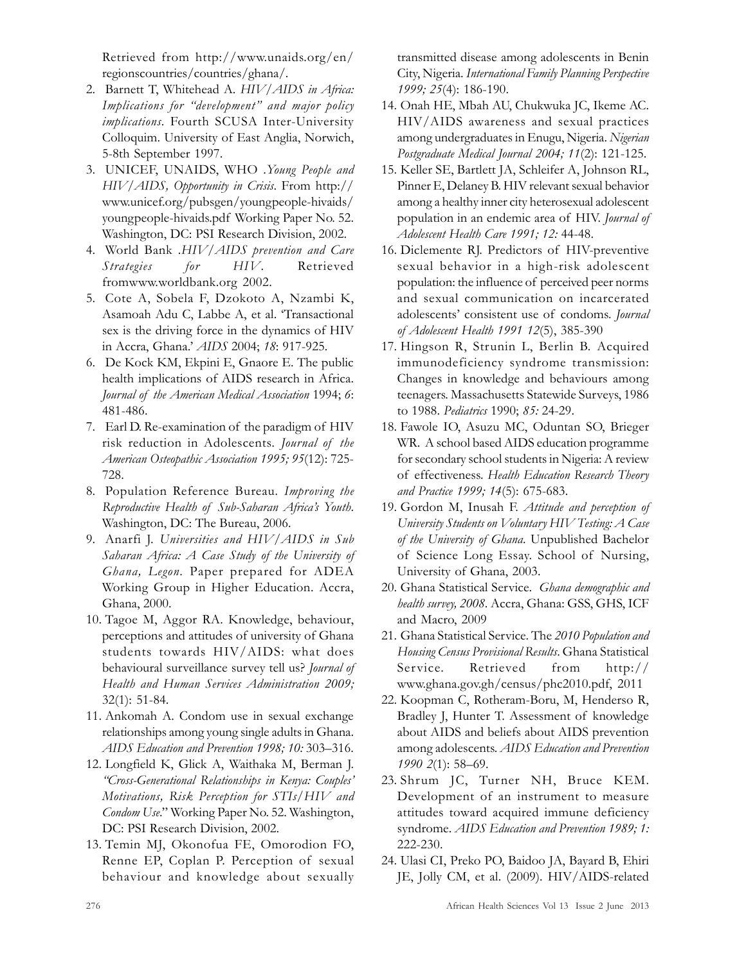Retrieved from http://www.unaids.org/en/ regionscountries/countries/ghana/.

- 2. Barnett T, Whitehead A. HIV/AIDS in Africa: Implications for "development" and major policy implications. Fourth SCUSA Inter-University Colloquim. University of East Anglia, Norwich, 5-8th September 1997.
- 3. UNICEF, UNAIDS, WHO .Young People and HIV/AIDS, Opportunity in Crisis. From http:// www.unicef.org/pubsgen/youngpeople-hivaids/ youngpeople-hivaids.pdf Working Paper No. 52. Washington, DC: PSI Research Division, 2002.
- 4. World Bank .HIV/AIDS prevention and Care Strategies for HIV. Retrieved fromwww.worldbank.org 2002.
- 5. Cote A, Sobela F, Dzokoto A, Nzambi K, Asamoah Adu C, Labbe A, et al. 'Transactional sex is the driving force in the dynamics of HIV in Accra, Ghana.' AIDS 2004; 18: 917-925.
- 6. De Kock KM, Ekpini E, Gnaore E. The public health implications of AIDS research in Africa. Journal of the American Medical Association 1994; 6: 481-486.
- 7. Earl D. Re-examination of the paradigm of HIV risk reduction in Adolescents. Journal of the American Osteopathic Association 1995; 95(12): 725- 728.
- 8. Population Reference Bureau. Improving the Reproductive Health of Sub-Saharan Africa's Youth. Washington, DC: The Bureau, 2006.
- 9. Anarfi J. Universities and HIV/AIDS in Sub Saharan Africa: A Case Study of the University of Ghana, Legon. Paper prepared for ADEA Working Group in Higher Education. Accra, Ghana, 2000.
- 10. Tagoe M, Aggor RA. Knowledge, behaviour, perceptions and attitudes of university of Ghana students towards HIV/AIDS: what does behavioural surveillance survey tell us? Journal of Health and Human Services Administration 2009; 32(1): 51-84.
- 11. Ankomah A. Condom use in sexual exchange relationships among young single adults in Ghana. AIDS Education and Prevention 1998; 10: 303–316.
- 12. Longfield K, Glick A, Waithaka M, Berman J. "Cross-Generational Relationships in Kenya: Couples' Motivations, Risk Perception for STIs/HIV and Condom Use." Working Paper No. 52. Washington, DC: PSI Research Division, 2002.
- 13. Temin MJ, Okonofua FE, Omorodion FO, Renne EP, Coplan P. Perception of sexual behaviour and knowledge about sexually

transmitted disease among adolescents in Benin City, Nigeria. International Family Planning Perspective 1999; 25(4): 186-190.

- 14. Onah HE, Mbah AU, Chukwuka JC, Ikeme AC. HIV/AIDS awareness and sexual practices among undergraduates in Enugu, Nigeria. Nigerian Postgraduate Medical Journal 2004; 11(2): 121-125.
- 15. Keller SE, Bartlett JA, Schleifer A, Johnson RL, Pinner E, Delaney B. HIV relevant sexual behavior among a healthy inner city heterosexual adolescent population in an endemic area of HIV. Journal of Adolescent Health Care 1991; 12: 44-48.
- 16. Diclemente RJ. Predictors of HIV-preventive sexual behavior in a high-risk adolescent population: the influence of perceived peer norms and sexual communication on incarcerated adolescents' consistent use of condoms. Journal of Adolescent Health 1991 12(5), 385-390
- 17. Hingson R, Strunin L, Berlin B. Acquired immunodeficiency syndrome transmission: Changes in knowledge and behaviours among teenagers. Massachusetts Statewide Surveys, 1986 to 1988. Pediatrics 1990; 85: 24-29.
- 18. Fawole IO, Asuzu MC, Oduntan SO, Brieger WR. A school based AIDS education programme for secondary school students in Nigeria: A review of effectiveness. Health Education Research Theory and Practice 1999; 14(5): 675-683.
- 19. Gordon M, Inusah F. Attitude and perception of University Students on Voluntary HIV Testing: A Case of the University of Ghana. Unpublished Bachelor of Science Long Essay. School of Nursing, University of Ghana, 2003.
- 20. Ghana Statistical Service. Ghana demographic and health survey, 2008. Accra, Ghana: GSS, GHS, ICF and Macro, 2009
- 21. Ghana Statistical Service. The 2010 Population and Housing Census Provisional Results. Ghana Statistical Service. Retrieved from http:// www.ghana.gov.gh/census/phc2010.pdf, 2011
- 22. Koopman C, Rotheram-Boru, M, Henderso R, Bradley J, Hunter T. Assessment of knowledge about AIDS and beliefs about AIDS prevention among adolescents. AIDS Education and Prevention 1990 2(1): 58–69.
- 23. Shrum JC, Turner NH, Bruce KEM. Development of an instrument to measure attitudes toward acquired immune deficiency syndrome. AIDS Education and Prevention 1989; 1: 222-230.
- 24. Ulasi CI, Preko PO, Baidoo JA, Bayard B, Ehiri JE, Jolly CM, et al. (2009). HIV/AIDS-related